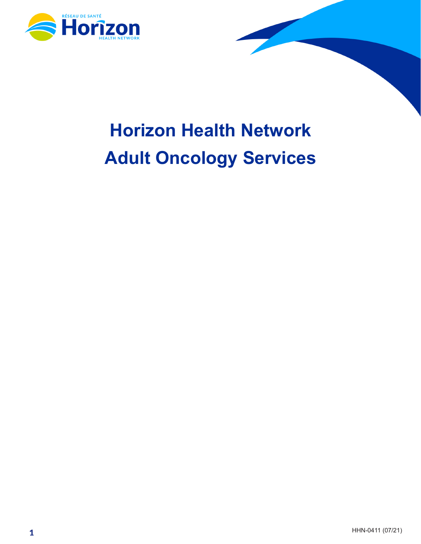

# **Horizon Health Network Adult Oncology Services**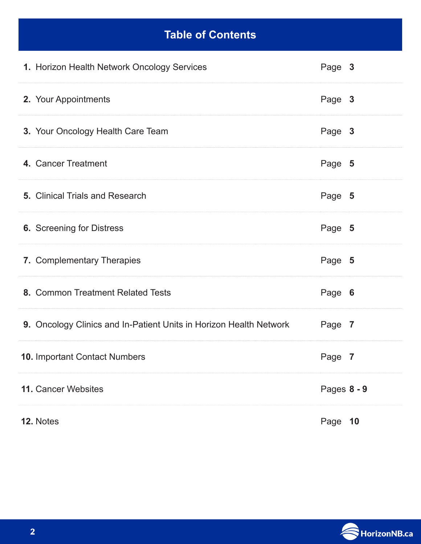## **Table of Contents**

| 1. Horizon Health Network Oncology Services                        | Page 3      |
|--------------------------------------------------------------------|-------------|
| 2. Your Appointments                                               | Page 3      |
| 3. Your Oncology Health Care Team                                  | Page 3      |
| 4. Cancer Treatment                                                | Page 5      |
| <b>5.</b> Clinical Trials and Research                             | Page 5      |
| <b>6.</b> Screening for Distress                                   | Page 5      |
| 7. Complementary Therapies                                         | Page 5      |
| 8. Common Treatment Related Tests                                  | Page 6      |
| 9. Oncology Clinics and In-Patient Units in Horizon Health Network | Page 7      |
| <b>10. Important Contact Numbers</b>                               | Page 7      |
| 11. Cancer Websites                                                | Pages 8 - 9 |
| 12. Notes                                                          | Page 10     |

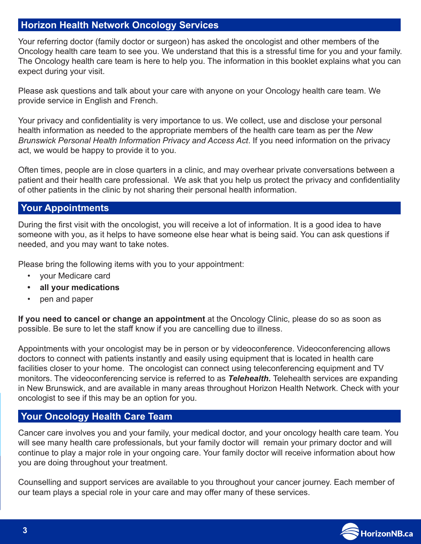#### **Horizon Health Network Oncology Services**

Your referring doctor (family doctor or surgeon) has asked the oncologist and other members of the Oncology health care team to see you. We understand that this is a stressful time for you and your family. The Oncology health care team is here to help you. The information in this booklet explains what you can expect during your visit.

Please ask questions and talk about your care with anyone on your Oncology health care team. We provide service in English and French.

Your privacy and confidentiality is very importance to us. We collect, use and disclose your personal health information as needed to the appropriate members of the health care team as per the *New Brunswick Personal Health Information Privacy and Access Act*. If you need information on the privacy act, we would be happy to provide it to you.

Often times, people are in close quarters in a clinic, and may overhear private conversations between a patient and their health care professional. We ask that you help us protect the privacy and confidentiality of other patients in the clinic by not sharing their personal health information.

#### **Your Appointments**

During the first visit with the oncologist, you will receive a lot of information. It is a good idea to have someone with you, as it helps to have someone else hear what is being said. You can ask questions if needed, and you may want to take notes.

Please bring the following items with you to your appointment:

- your Medicare card
- **• all your medications**
- pen and paper

**If you need to cancel or change an appointment** at the Oncology Clinic, please do so as soon as possible. Be sure to let the staff know if you are cancelling due to illness.

Appointments with your oncologist may be in person or by videoconference. Videoconferencing allows doctors to connect with patients instantly and easily using equipment that is located in health care facilities closer to your home. The oncologist can connect using teleconferencing equipment and TV monitors. The videoconferencing service is referred to as *Telehealth.* Telehealth services are expanding in New Brunswick, and are available in many areas throughout Horizon Health Network. Check with your oncologist to see if this may be an option for you.

#### **Your Oncology Health Care Team**

Cancer care involves you and your family, your medical doctor, and your oncology health care team. You will see many health care professionals, but your family doctor will remain your primary doctor and will continue to play a major role in your ongoing care. Your family doctor will receive information about how you are doing throughout your treatment.

Counselling and support services are available to you throughout your cancer journey. Each member of our team plays a special role in your care and may offer many of these services.

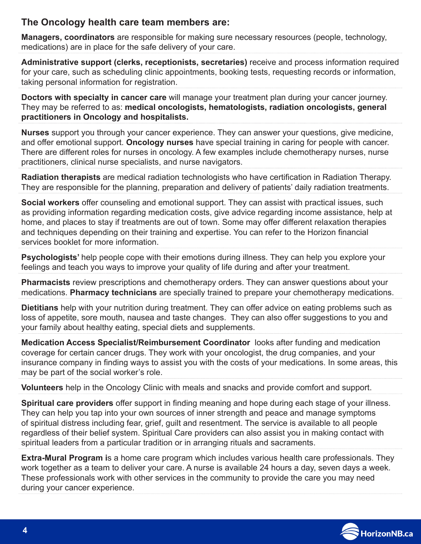#### **The Oncology health care team members are:**

**Managers, coordinators** are responsible for making sure necessary resources (people, technology, medications) are in place for the safe delivery of your care.

**Administrative support (clerks, receptionists, secretaries)** receive and process information required for your care, such as scheduling clinic appointments, booking tests, requesting records or information, taking personal information for registration.

**Doctors with specialty in cancer care** will manage your treatment plan during your cancer journey. They may be referred to as: **medical oncologists, hematologists, radiation oncologists, general practitioners in Oncology and hospitalists.**

**Nurses** support you through your cancer experience. They can answer your questions, give medicine, and offer emotional support. **Oncology nurses** have special training in caring for people with cancer. There are different roles for nurses in oncology. A few examples include chemotherapy nurses, nurse practitioners, clinical nurse specialists, and nurse navigators.

**Radiation therapists** are medical radiation technologists who have certification in Radiation Therapy. They are responsible for the planning, preparation and delivery of patients' daily radiation treatments.

**Social workers** offer counseling and emotional support. They can assist with practical issues, such as providing information regarding medication costs, give advice regarding income assistance, help at home, and places to stay if treatments are out of town. Some may offer different relaxation therapies and techniques depending on their training and expertise. You can refer to the Horizon financial services booklet for more information.

**Psychologists'** help people cope with their emotions during illness. They can help you explore your feelings and teach you ways to improve your quality of life during and after your treatment.

**Pharmacists** review prescriptions and chemotherapy orders. They can answer questions about your medications. **Pharmacy technicians** are specially trained to prepare your chemotherapy medications.

**Dietitians** help with your nutrition during treatment. They can offer advice on eating problems such as loss of appetite, sore mouth, nausea and taste changes. They can also offer suggestions to you and your family about healthy eating, special diets and supplements.

**Medication Access Specialist/Reimbursement Coordinator** looks after funding and medication coverage for certain cancer drugs. They work with your oncologist, the drug companies, and your insurance company in finding ways to assist you with the costs of your medications. In some areas, this may be part of the social worker's role.

**Volunteers** help in the Oncology Clinic with meals and snacks and provide comfort and support.

**Spiritual care providers** offer support in finding meaning and hope during each stage of your illness. They can help you tap into your own sources of inner strength and peace and manage symptoms of spiritual distress including fear, grief, guilt and resentment. The service is available to all people regardless of their belief system. Spiritual Care providers can also assist you in making contact with spiritual leaders from a particular tradition or in arranging rituals and sacraments.

**Extra-Mural Program i**s a home care program which includes various health care professionals. They work together as a team to deliver your care. A nurse is available 24 hours a day, seven days a week. These professionals work with other services in the community to provide the care you may need during your cancer experience.

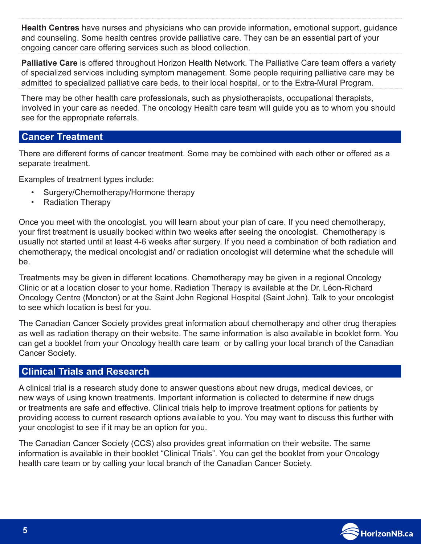**Health Centres** have nurses and physicians who can provide information**,** emotional support, guidance and counseling. Some health centres provide palliative care. They can be an essential part of your ongoing cancer care offering services such as blood collection.

**Palliative Care** is offered throughout Horizon Health Network. The Palliative Care team offers a variety of specialized services including symptom management. Some people requiring palliative care may be admitted to specialized palliative care beds, to their local hospital, or to the Extra-Mural Program.

There may be other health care professionals, such as physiotherapists, occupational therapists, involved in your care as needed. The oncology Health care team will guide you as to whom you should see for the appropriate referrals.

#### **Cancer Treatment**

There are different forms of cancer treatment. Some may be combined with each other or offered as a separate treatment.

Examples of treatment types include:

- Surgery/Chemotherapy/Hormone therapy
- Radiation Therapy

Once you meet with the oncologist, you will learn about your plan of care. If you need chemotherapy, your first treatment is usually booked within two weeks after seeing the oncologist. Chemotherapy is usually not started until at least 4-6 weeks after surgery. If you need a combination of both radiation and chemotherapy, the medical oncologist and/ or radiation oncologist will determine what the schedule will be.

Treatments may be given in different locations. Chemotherapy may be given in a regional Oncology Clinic or at a location closer to your home. Radiation Therapy is available at the Dr. Léon-Richard Oncology Centre (Moncton) or at the Saint John Regional Hospital (Saint John). Talk to your oncologist to see which location is best for you.

The Canadian Cancer Society provides great information about chemotherapy and other drug therapies as well as radiation therapy on their website. The same information is also available in booklet form. You can get a booklet from your Oncology health care team or by calling your local branch of the Canadian Cancer Society.

### **Clinical Trials and Research**

A clinical trial is a research study done to answer questions about new drugs, medical devices, or new ways of using known treatments. Important information is collected to determine if new drugs or treatments are safe and effective. Clinical trials help to improve treatment options for patients by providing access to current research options available to you. You may want to discuss this further with your oncologist to see if it may be an option for you.

The Canadian Cancer Society (CCS) also provides great information on their website. The same information is available in their booklet "Clinical Trials". You can get the booklet from your Oncology health care team or by calling your local branch of the Canadian Cancer Society.

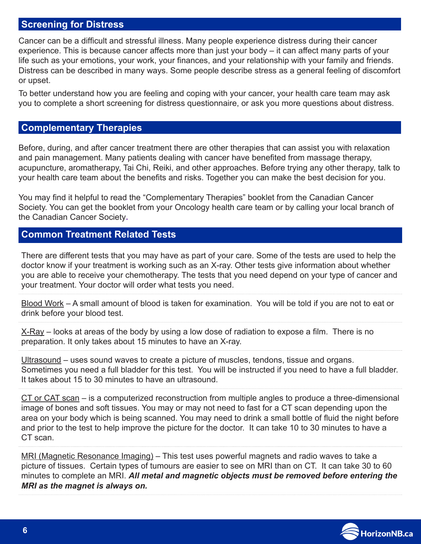#### **Screening for Distress**

Cancer can be a difficult and stressful illness. Many people experience distress during their cancer experience. This is because cancer affects more than just your body – it can affect many parts of your life such as your emotions, your work, your finances, and your relationship with your family and friends. Distress can be described in many ways. Some people describe stress as a general feeling of discomfort or upset.

To better understand how you are feeling and coping with your cancer, your health care team may ask you to complete a short screening for distress questionnaire, or ask you more questions about distress.

#### **Complementary Therapies**

Before, during, and after cancer treatment there are other therapies that can assist you with relaxation and pain management. Many patients dealing with cancer have benefited from massage therapy, acupuncture, aromatherapy, Tai Chi, Reiki, and other approaches. Before trying any other therapy, talk to your health care team about the benefits and risks. Together you can make the best decision for you.

You may find it helpful to read the "Complementary Therapies" booklet from the Canadian Cancer Society. You can get the booklet from your Oncology health care team or by calling your local branch of the Canadian Cancer Society**.**

#### **Common Treatment Related Tests**

There are different tests that you may have as part of your care. Some of the tests are used to help the doctor know if your treatment is working such as an X-ray. Other tests give information about whether you are able to receive your chemotherapy. The tests that you need depend on your type of cancer and your treatment. Your doctor will order what tests you need.

Blood Work – A small amount of blood is taken for examination. You will be told if you are not to eat or drink before your blood test.

 $X-Ray$  – looks at areas of the body by using a low dose of radiation to expose a film. There is no preparation. It only takes about 15 minutes to have an X-ray.

Ultrasound – uses sound waves to create a picture of muscles, tendons, tissue and organs. Sometimes you need a full bladder for this test. You will be instructed if you need to have a full bladder. It takes about 15 to 30 minutes to have an ultrasound.

CT or CAT scan – is a computerized reconstruction from multiple angles to produce a three-dimensional image of bones and soft tissues. You may or may not need to fast for a CT scan depending upon the area on your body which is being scanned. You may need to drink a small bottle of fluid the night before and prior to the test to help improve the picture for the doctor. It can take 10 to 30 minutes to have a CT scan.

MRI (Magnetic Resonance Imaging) – This test uses powerful magnets and radio waves to take a picture of tissues. Certain types of tumours are easier to see on MRI than on CT. It can take 30 to 60 minutes to complete an MRI. *All metal and magnetic objects must be removed before entering the MRI as the magnet is always on.*

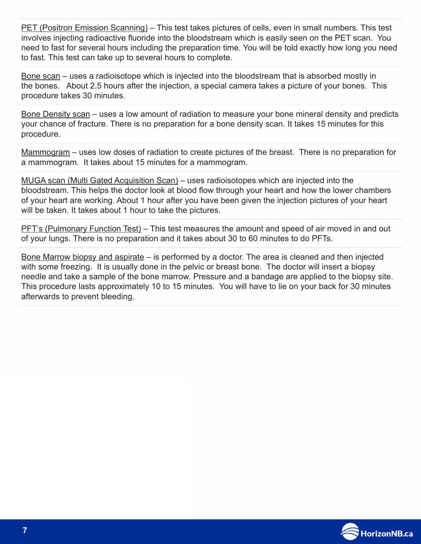PET (Positron Emission Scanning) – This test takes pictures of cells, even in small numbers. This test involves injecting radioactive fluoride into the bloodstream which is easily seen on the PET scan. You need to fast for several hours including the preparation time. You will be told exactly how long you need to fast. This test can take up to several hours to complete.

Bone scan – uses a radioisotope which is injected into the bloodstream that is absorbed mostly in the bones. About 2.5 hours after the injection, a special camera takes a picture of your bones. This procedure takes 30 minutes.

Bone Density scan – uses a low amount of radiation to measure your bone mineral density and predicts your chance of fracture. There is no preparation for a bone density scan. It takes 15 minutes for this procedure.

Mammogram – uses low doses of radiation to create pictures of the breast. There is no preparation for a mammogram. It takes about 15 minutes for a mammogram.

MUGA scan (Multi Gated Acquisition Scan) – uses radioisotopes which are injected into the bloodstream. This helps the doctor look at blood flow through your heart and how the lower chambers of your heart are working. About 1 hour after you have been given the injection pictures of your heart will be taken. It takes about 1 hour to take the pictures.

PFT's (Pulmonary Function Test) – This test measures the amount and speed of air moved in and out of your lungs. There is no preparation and it takes about 30 to 60 minutes to do PFTs.

Bone Marrow biopsy and aspirate – is performed by a doctor. The area is cleaned and then injected with some freezing. It is usually done in the pelvic or breast bone. The doctor will insert a biopsy needle and take a sample of the bone marrow. Pressure and a bandage are applied to the biopsy site. This procedure lasts approximately 10 to 15 minutes. You will have to lie on your back for 30 minutes afterwards to prevent bleeding.

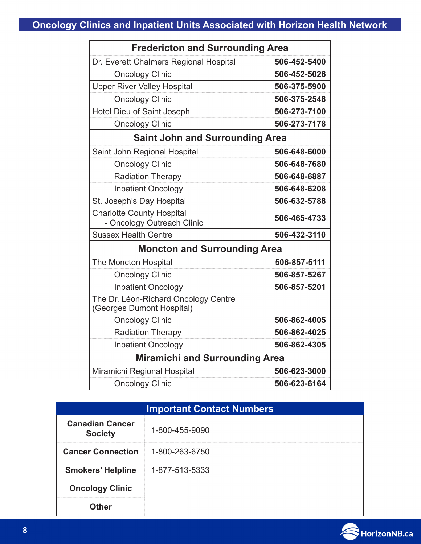| <b>Fredericton and Surrounding Area</b>                           |              |
|-------------------------------------------------------------------|--------------|
| Dr. Everett Chalmers Regional Hospital                            | 506-452-5400 |
| <b>Oncology Clinic</b>                                            | 506-452-5026 |
| <b>Upper River Valley Hospital</b>                                | 506-375-5900 |
| <b>Oncology Clinic</b>                                            | 506-375-2548 |
| Hotel Dieu of Saint Joseph                                        | 506-273-7100 |
| <b>Oncology Clinic</b>                                            | 506-273-7178 |
| <b>Saint John and Surrounding Area</b>                            |              |
| Saint John Regional Hospital                                      | 506-648-6000 |
| <b>Oncology Clinic</b>                                            | 506-648-7680 |
| <b>Radiation Therapy</b>                                          | 506-648-6887 |
| <b>Inpatient Oncology</b>                                         | 506-648-6208 |
| St. Joseph's Day Hospital                                         | 506-632-5788 |
| <b>Charlotte County Hospital</b>                                  | 506-465-4733 |
| - Oncology Outreach Clinic                                        |              |
| <b>Sussex Health Centre</b>                                       | 506-432-3110 |
| <b>Moncton and Surrounding Area</b>                               |              |
| The Moncton Hospital                                              | 506-857-5111 |
| <b>Oncology Clinic</b>                                            | 506-857-5267 |
| <b>Inpatient Oncology</b>                                         | 506-857-5201 |
| The Dr. Léon-Richard Oncology Centre<br>(Georges Dumont Hospital) |              |
| <b>Oncology Clinic</b>                                            | 506-862-4005 |
| <b>Radiation Therapy</b>                                          | 506-862-4025 |
| <b>Inpatient Oncology</b>                                         | 506-862-4305 |
| <b>Miramichi and Surrounding Area</b>                             |              |
| Miramichi Regional Hospital                                       | 506-623-3000 |
| <b>Oncology Clinic</b>                                            | 506-623-6164 |

| <b>Important Contact Numbers</b>         |                |  |
|------------------------------------------|----------------|--|
| <b>Canadian Cancer</b><br><b>Society</b> | 1-800-455-9090 |  |
| <b>Cancer Connection</b>                 | 1-800-263-6750 |  |
| <b>Smokers' Helpline</b>                 | 1-877-513-5333 |  |
| <b>Oncology Clinic</b>                   |                |  |
| ıther                                    |                |  |

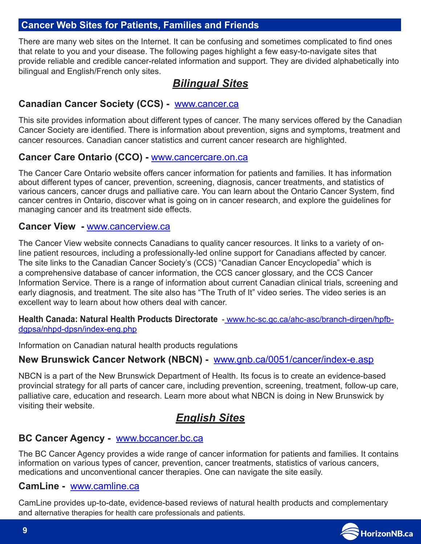#### **Cancer Web Sites for Patients, Families and Friends**

There are many web sites on the Internet. It can be confusing and sometimes complicated to find ones that relate to you and your disease. The following pages highlight a few easy-to-navigate sites that provide reliable and credible cancer-related information and support. They are divided alphabetically into bilingual and English/French only sites.

## *Bilingual Sites*

#### **Canadian Cancer Society (CCS) -** [www.cancer.ca](http://www.cancer.ca/)

This site provides information about different types of cancer. The many services offered by the Canadian Cancer Society are identified. There is information about prevention, signs and symptoms, treatment and cancer resources. Canadian cancer statistics and current cancer research are highlighted.

#### **Cancer Care Ontario (CCO) -** [www.cancercare.on.ca](http://www.cancercare.on.ca/)

The Cancer Care Ontario website offers cancer information for patients and families. It has information about different types of cancer, prevention, screening, diagnosis, cancer treatments, and statistics of various cancers, cancer drugs and palliative care. You can learn about the Ontario Cancer System, find cancer centres in Ontario, discover what is going on in cancer research, and explore the guidelines for managing cancer and its treatment side effects.

#### **Cancer View -** [www.cancerview.ca](http://www.cancerview.ca/)

The Cancer View website connects Canadians to quality cancer resources. It links to a variety of online patient resources, including a professionally-led online support for Canadians affected by cancer. The site links to the Canadian Cancer Society's (CCS) "Canadian Cancer Encyclopedia" which is a comprehensive database of cancer information, the CCS cancer glossary, and the CCS Cancer Information Service. There is a range of information about current Canadian clinical trials, screening and early diagnosis, and treatment. The site also has "The Truth of It" video series. The video series is an excellent way to learn about how others deal with cancer.

**Health Canada: Natural Health Products Directorate** - [www.hc-sc.gc.ca/ahc-asc/branch-dirgen/hpfb](http://www.hc-sc.gc.ca/ahc-asc/branch-dirgen/hpfb-dgpsa/nhpd-dpsn/index-eng.php)[dgpsa/nhpd-dpsn/index-eng.php](http://www.hc-sc.gc.ca/ahc-asc/branch-dirgen/hpfb-dgpsa/nhpd-dpsn/index-eng.php)

Information on Canadian natural health products regulations

#### **New Brunswick Cancer Network (NBCN) -** [www.gnb.ca/0051/cancer/index-e.asp](http://www.gnb.ca/0051/cancer/index-e.asp)

NBCN is a part of the New Brunswick Department of Health. Its focus is to create an evidence-based provincial strategy for all parts of cancer care, including prevention, screening, treatment, follow-up care, palliative care, education and research. Learn more about what NBCN is doing in New Brunswick by visiting their website.

## *English Sites*

#### **BC Cancer Agency -** [www.bccancer.bc.ca](http://www.bccancer.bc.ca/)

The BC Cancer Agency provides a wide range of cancer information for patients and families. It contains information on various types of cancer, prevention, cancer treatments, statistics of various cancers, medications and unconventional cancer therapies. One can navigate the site easily.

#### **CamLine -** w[ww.camline.ca](http://www.camline.ca/)

CamLine provides up-to-date, evidence-based reviews of natural health products and complementary and alternative therapies for health care professionals and patients.